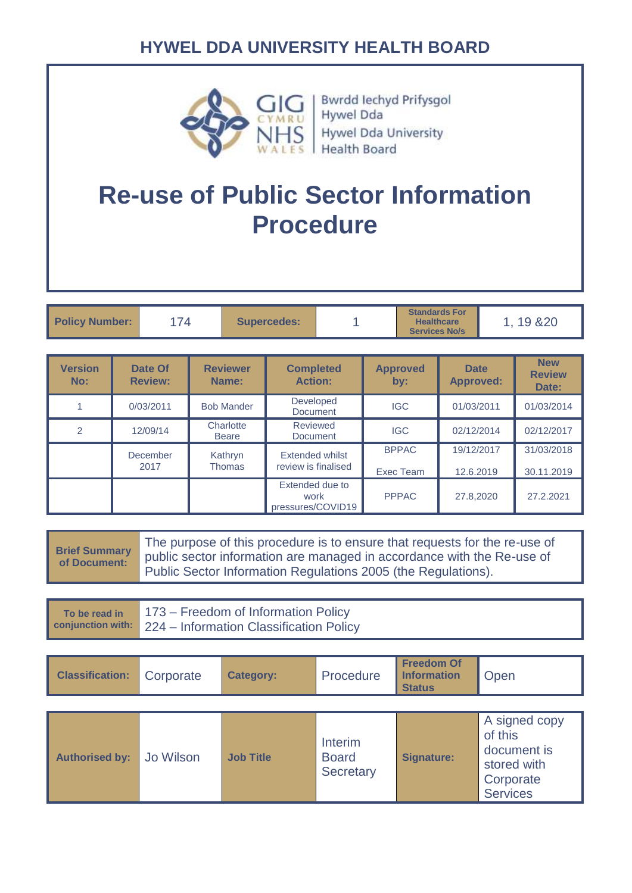

Bwrdd Iechyd Prifysgol<br>Hywel Dda **Hywel Dda University** Health Board

# **Re-use of Public Sector Information Procedure**

| <b>Policy Number:</b> | 74 | <b>Supercedes:</b> |  | <b>Standards For</b><br><b>Healthcare</b><br><b>Services No/s</b> | 19 & 20 |
|-----------------------|----|--------------------|--|-------------------------------------------------------------------|---------|
|-----------------------|----|--------------------|--|-------------------------------------------------------------------|---------|

| <b>Version</b><br>No: | Date Of<br><b>Review:</b> | <b>Reviewer</b><br>Name:  | <b>Completed</b><br><b>Action:</b>           | <b>Approved</b><br>by:    | <b>Date</b><br><b>Approved:</b> | <b>New</b><br><b>Review</b><br>Date: |
|-----------------------|---------------------------|---------------------------|----------------------------------------------|---------------------------|---------------------------------|--------------------------------------|
|                       | 0/03/2011                 | <b>Bob Mander</b>         | <b>Developed</b><br><b>Document</b>          | <b>IGC</b>                | 01/03/2011                      | 01/03/2014                           |
| $\overline{2}$        | 12/09/14                  | Charlotte<br><b>Beare</b> | Reviewed<br>Document                         | <b>IGC</b>                | 02/12/2014                      | 02/12/2017                           |
|                       | December<br>2017          | Kathryn<br><b>Thomas</b>  | Extended whilst<br>review is finalised       | <b>BPPAC</b><br>Exec Team | 19/12/2017<br>12.6.2019         | 31/03/2018<br>30.11.2019             |
|                       |                           |                           | Extended due to<br>work<br>pressures/COVID19 | <b>PPPAC</b>              | 27.8,2020                       | 27.2.2021                            |

| <b>Brief Summary</b><br>of Document: | The purpose of this procedure is to ensure that requests for the re-use of<br>public sector information are managed in accordance with the Re-use of<br>Public Sector Information Regulations 2005 (the Regulations). |                  |                                             |                                                          |                                                                                        |  |  |  |
|--------------------------------------|-----------------------------------------------------------------------------------------------------------------------------------------------------------------------------------------------------------------------|------------------|---------------------------------------------|----------------------------------------------------------|----------------------------------------------------------------------------------------|--|--|--|
| To be read in<br>conjunction with:   | 173 – Freedom of Information Policy<br>224 – Information Classification Policy                                                                                                                                        |                  |                                             |                                                          |                                                                                        |  |  |  |
|                                      |                                                                                                                                                                                                                       |                  |                                             |                                                          |                                                                                        |  |  |  |
| <b>Classification:</b>               | Corporate                                                                                                                                                                                                             | <b>Category:</b> | Procedure                                   | <b>Freedom Of</b><br><b>Information</b><br><b>Status</b> | Open                                                                                   |  |  |  |
|                                      |                                                                                                                                                                                                                       |                  |                                             |                                                          |                                                                                        |  |  |  |
| <b>Authorised by:</b>                | Jo Wilson                                                                                                                                                                                                             | <b>Job Title</b> | Interim<br><b>Board</b><br><b>Secretary</b> | <b>Signature:</b>                                        | A signed copy<br>of this<br>document is<br>stored with<br>Corporate<br><b>Services</b> |  |  |  |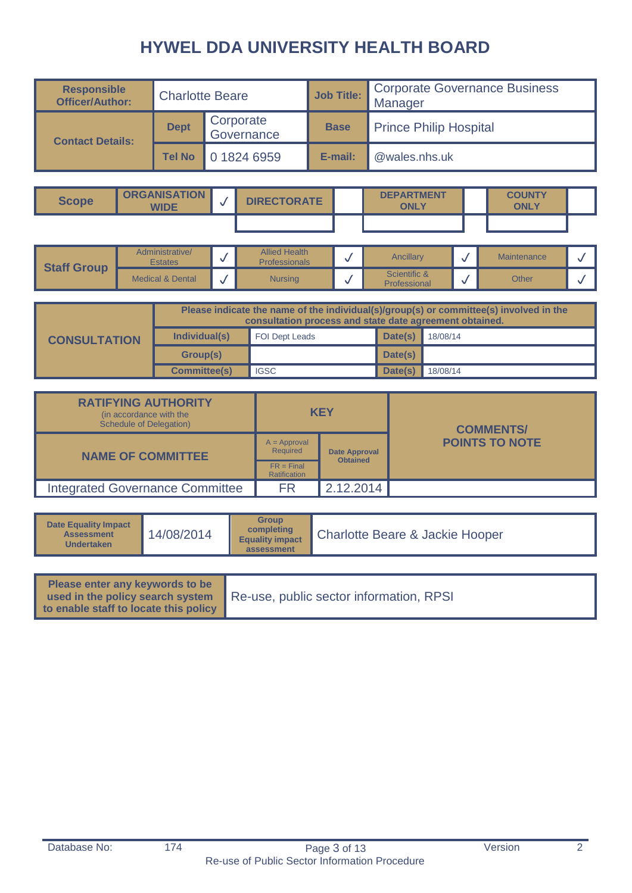| <b>Responsible</b><br><b>Officer/Author:</b> | <b>Charlotte Beare</b> |                         | <b>Job Title:</b> | <b>Corporate Governance Business</b><br>Manager |
|----------------------------------------------|------------------------|-------------------------|-------------------|-------------------------------------------------|
| <b>Contact Details:</b>                      | <b>Dept</b>            | Corporate<br>Governance | <b>Base</b>       | <b>Prince Philip Hospital</b>                   |
|                                              | <b>Tel No</b>          | 0 1824 6959             | E-mail:           | @wales.nhs.uk                                   |

| <b>Scope</b> | <b>ORGANISATION</b><br><b>WIDE</b> | <b>DIRECTORATE</b> | <b>DEPARTMENT</b><br><b>ONLY</b> | <b>COUNTY</b><br><b>ONLY</b> |  |
|--------------|------------------------------------|--------------------|----------------------------------|------------------------------|--|
|              |                                    |                    |                                  |                              |  |

|                    | Administrative/<br><b>Estates</b> | <b>Allied Health</b><br><b>Professionals</b> | Ancillary                           | Maintenance |  |
|--------------------|-----------------------------------|----------------------------------------------|-------------------------------------|-------------|--|
| <b>Staff Group</b> | <b>Medical &amp; Dental</b>       | <b>Nursing</b>                               | Scientific &<br><b>Professional</b> | Other       |  |

|                     | Please indicate the name of the individual(s)/group(s) or committee(s) involved in the<br>consultation process and state date agreement obtained. |                       |         |          |  |  |  |
|---------------------|---------------------------------------------------------------------------------------------------------------------------------------------------|-----------------------|---------|----------|--|--|--|
| <b>CONSULTATION</b> | Individual(s)                                                                                                                                     | <b>FOI Dept Leads</b> | Date(s) | 18/08/14 |  |  |  |
|                     | Group(s)                                                                                                                                          |                       | Date(s) |          |  |  |  |
|                     | <b>Committee(s)</b>                                                                                                                               | <b>IGSC</b>           | Date(s) | 18/08/14 |  |  |  |

| <b>RATIFYING AUTHORITY</b><br>(in accordance with the<br>Schedule of Delegation) |                                     | <b>KEY</b>      | <b>COMMENTS/</b>      |
|----------------------------------------------------------------------------------|-------------------------------------|-----------------|-----------------------|
| <b>NAME OF COMMITTEE</b>                                                         | $A = Approval$<br><b>Required</b>   | Date Approval   | <b>POINTS TO NOTE</b> |
|                                                                                  | $FR = Final$<br><b>Ratification</b> | <b>Obtained</b> |                       |
| <b>Integrated Governance Committee</b>                                           | FR                                  | 2.12.2014       |                       |

| <b>Date Equality Impact</b><br><b>Assessment</b><br><b>Undertaken</b>                                        | 14/08/2014 | <b>Group</b><br>completing<br><b>Equality impact</b><br>assessment | <b>Charlotte Beare &amp; Jackie Hooper</b> |
|--------------------------------------------------------------------------------------------------------------|------------|--------------------------------------------------------------------|--------------------------------------------|
| Please enter any keywords to be<br>used in the policy search system<br>to enable staff to locate this policy |            |                                                                    | Re-use, public sector information, RPSI    |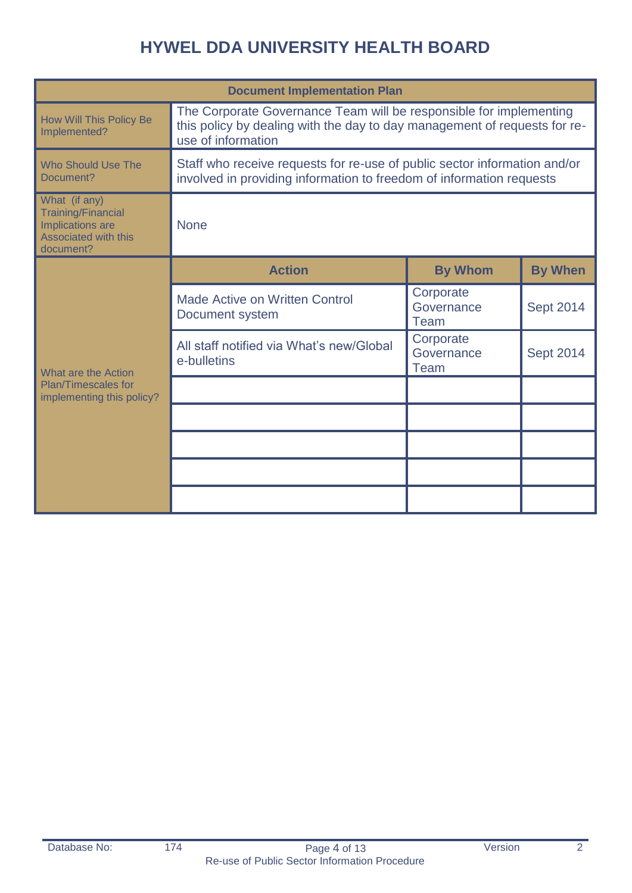|                                                                                                            | <b>Document Implementation Plan</b>                                                                                                                                   |                                 |                  |  |  |  |  |  |
|------------------------------------------------------------------------------------------------------------|-----------------------------------------------------------------------------------------------------------------------------------------------------------------------|---------------------------------|------------------|--|--|--|--|--|
| <b>How Will This Policy Be</b><br>Implemented?                                                             | The Corporate Governance Team will be responsible for implementing<br>this policy by dealing with the day to day management of requests for re-<br>use of information |                                 |                  |  |  |  |  |  |
| <b>Who Should Use The</b><br>Document?                                                                     | Staff who receive requests for re-use of public sector information and/or<br>involved in providing information to freedom of information requests                     |                                 |                  |  |  |  |  |  |
| What (if any)<br><b>Training/Financial</b><br>Implications are<br><b>Associated with this</b><br>document? | <b>None</b>                                                                                                                                                           |                                 |                  |  |  |  |  |  |
| e-bulletins<br>What are the Action<br><b>Plan/Timescales for</b><br>implementing this policy?              | <b>Action</b>                                                                                                                                                         | <b>By Whom</b>                  | <b>By When</b>   |  |  |  |  |  |
|                                                                                                            | <b>Made Active on Written Control</b><br>Document system                                                                                                              | Corporate<br>Governance<br>Team | <b>Sept 2014</b> |  |  |  |  |  |
|                                                                                                            | All staff notified via What's new/Global                                                                                                                              | Corporate<br>Governance<br>Team | <b>Sept 2014</b> |  |  |  |  |  |
|                                                                                                            |                                                                                                                                                                       |                                 |                  |  |  |  |  |  |
|                                                                                                            |                                                                                                                                                                       |                                 |                  |  |  |  |  |  |
|                                                                                                            |                                                                                                                                                                       |                                 |                  |  |  |  |  |  |
|                                                                                                            |                                                                                                                                                                       |                                 |                  |  |  |  |  |  |
|                                                                                                            |                                                                                                                                                                       |                                 |                  |  |  |  |  |  |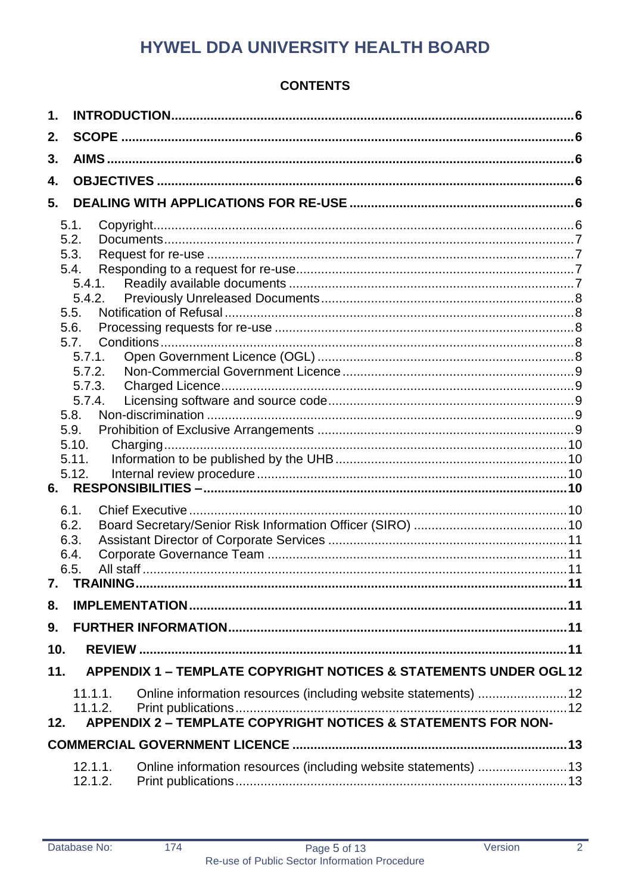# **CONTENTS**

| $\mathbf 1$ . |                                                                              |  |
|---------------|------------------------------------------------------------------------------|--|
| 2.            |                                                                              |  |
| 3.            |                                                                              |  |
| 4.            |                                                                              |  |
| 5.            |                                                                              |  |
|               |                                                                              |  |
|               | 5.1.<br>Copyright.                                                           |  |
|               | 5.2.<br>5.3.                                                                 |  |
|               | 5.4.                                                                         |  |
|               | 5.4.1.                                                                       |  |
|               | 5.4.2.                                                                       |  |
|               | 5.5.                                                                         |  |
|               | 5.6.                                                                         |  |
|               | 5.7.                                                                         |  |
|               | 5.7.1.                                                                       |  |
|               | 5.7.2.                                                                       |  |
|               | 5.7.3.                                                                       |  |
|               | 5.7.4.                                                                       |  |
|               | 5.8.                                                                         |  |
|               | 5.9.                                                                         |  |
|               | 5.10.<br>Charging                                                            |  |
|               | 5.11.                                                                        |  |
|               | 5.12.                                                                        |  |
| 6.            |                                                                              |  |
|               | 6.1.                                                                         |  |
|               | 6.2.                                                                         |  |
|               | 6.3.                                                                         |  |
|               | 6.4.                                                                         |  |
|               | 6.5.                                                                         |  |
| 7.            |                                                                              |  |
| 8.            |                                                                              |  |
| 9.            |                                                                              |  |
| 10.           |                                                                              |  |
| 11.           | <b>APPENDIX 1 - TEMPLATE COPYRIGHT NOTICES &amp; STATEMENTS UNDER OGL 12</b> |  |
|               |                                                                              |  |
|               | Online information resources (including website statements)  12<br>11.1.1.   |  |
| 12.           | 11.1.2.<br>APPENDIX 2 - TEMPLATE COPYRIGHT NOTICES & STATEMENTS FOR NON-     |  |
|               |                                                                              |  |
|               |                                                                              |  |
|               | Online information resources (including website statements)  13<br>12.1.1.   |  |
|               | 12.1.2.                                                                      |  |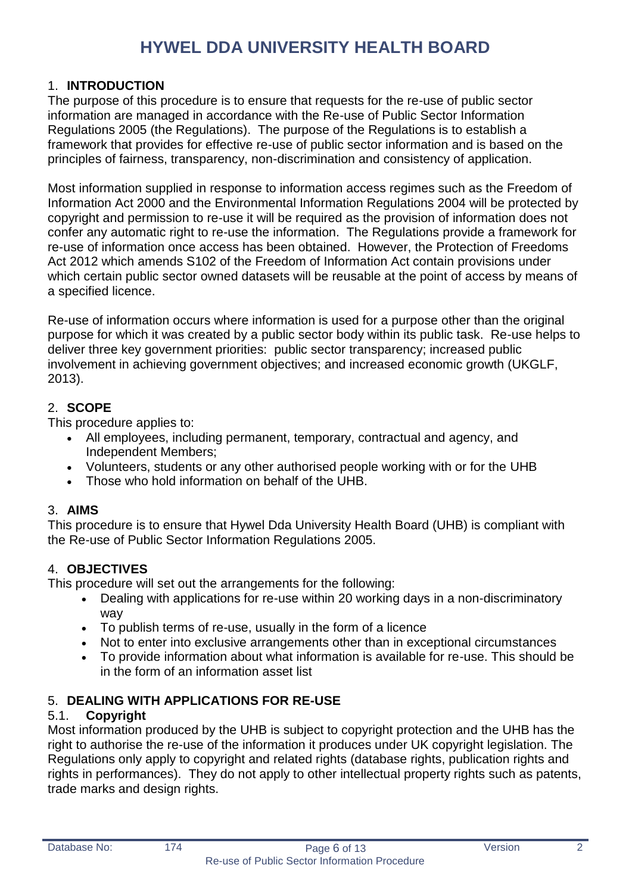# <span id="page-5-0"></span>1. **INTRODUCTION**

The purpose of this procedure is to ensure that requests for the re-use of public sector information are managed in accordance with the Re-use of Public Sector Information Regulations 2005 (the Regulations). The purpose of the Regulations is to establish a framework that provides for effective re-use of public sector information and is based on the principles of fairness, transparency, non-discrimination and consistency of application.

Most information supplied in response to information access regimes such as the Freedom of Information Act 2000 and the Environmental Information Regulations 2004 will be protected by copyright and permission to re-use it will be required as the provision of information does not confer any automatic right to re-use the information. The Regulations provide a framework for re-use of information once access has been obtained. However, the Protection of Freedoms Act 2012 which amends S102 of the Freedom of Information Act contain provisions under which certain public sector owned datasets will be reusable at the point of access by means of a specified licence.

Re-use of information occurs where information is used for a purpose other than the original purpose for which it was created by a public sector body within its public task. Re-use helps to deliver three key government priorities: public sector transparency; increased public involvement in achieving government objectives; and increased economic growth (UKGLF, 2013).

# <span id="page-5-1"></span>2. **SCOPE**

This procedure applies to:

- All employees, including permanent, temporary, contractual and agency, and Independent Members;
- Volunteers, students or any other authorised people working with or for the UHB
- Those who hold information on behalf of the UHB.

# <span id="page-5-2"></span>3. **AIMS**

This procedure is to ensure that Hywel Dda University Health Board (UHB) is compliant with the Re-use of Public Sector Information Regulations 2005.

# <span id="page-5-3"></span>4. **OBJECTIVES**

This procedure will set out the arrangements for the following:

- Dealing with applications for re-use within 20 working days in a non-discriminatory way
- To publish terms of re-use, usually in the form of a licence
- Not to enter into exclusive arrangements other than in exceptional circumstances
- To provide information about what information is available for re-use. This should be in the form of an information asset list

# <span id="page-5-4"></span>5. **DEALING WITH APPLICATIONS FOR RE-USE**

# <span id="page-5-5"></span>5.1. **Copyright**

Most information produced by the UHB is subject to copyright protection and the UHB has the right to authorise the re-use of the information it produces under UK copyright legislation. The Regulations only apply to copyright and related rights (database rights, publication rights and rights in performances). They do not apply to other intellectual property rights such as patents, trade marks and design rights.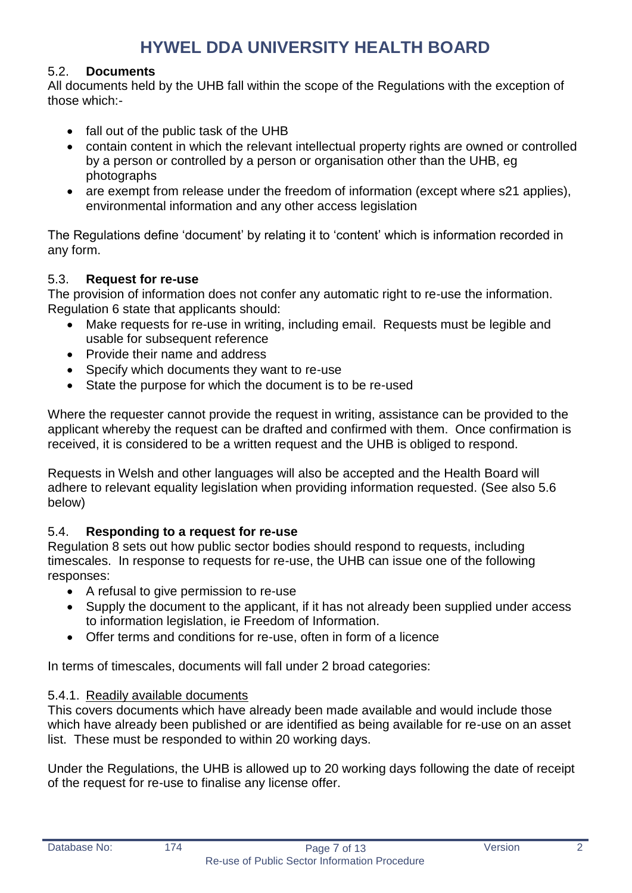# <span id="page-6-0"></span>5.2. **Documents**

All documents held by the UHB fall within the scope of the Regulations with the exception of those which:-

- fall out of the public task of the UHB
- contain content in which the relevant intellectual property rights are owned or controlled by a person or controlled by a person or organisation other than the UHB, eg photographs
- are exempt from release under the freedom of information (except where s21 applies), environmental information and any other access legislation

The Regulations define 'document' by relating it to 'content' which is information recorded in any form.

# <span id="page-6-1"></span>5.3. **Request for re-use**

The provision of information does not confer any automatic right to re-use the information. Regulation 6 state that applicants should:

- Make requests for re-use in writing, including email. Requests must be legible and usable for subsequent reference
- Provide their name and address
- Specify which documents they want to re-use
- State the purpose for which the document is to be re-used

Where the requester cannot provide the request in writing, assistance can be provided to the applicant whereby the request can be drafted and confirmed with them. Once confirmation is received, it is considered to be a written request and the UHB is obliged to respond.

Requests in Welsh and other languages will also be accepted and the Health Board will adhere to relevant equality legislation when providing information requested. (See also 5.6 below)

# <span id="page-6-2"></span>5.4. **Responding to a request for re-use**

Regulation 8 sets out how public sector bodies should respond to requests, including timescales. In response to requests for re-use, the UHB can issue one of the following responses:

- A refusal to give permission to re-use
- Supply the document to the applicant, if it has not already been supplied under access to information legislation, ie Freedom of Information.
- Offer terms and conditions for re-use, often in form of a licence

In terms of timescales, documents will fall under 2 broad categories:

# <span id="page-6-3"></span>5.4.1. Readily available documents

This covers documents which have already been made available and would include those which have already been published or are identified as being available for re-use on an asset list. These must be responded to within 20 working days.

Under the Regulations, the UHB is allowed up to 20 working days following the date of receipt of the request for re-use to finalise any license offer.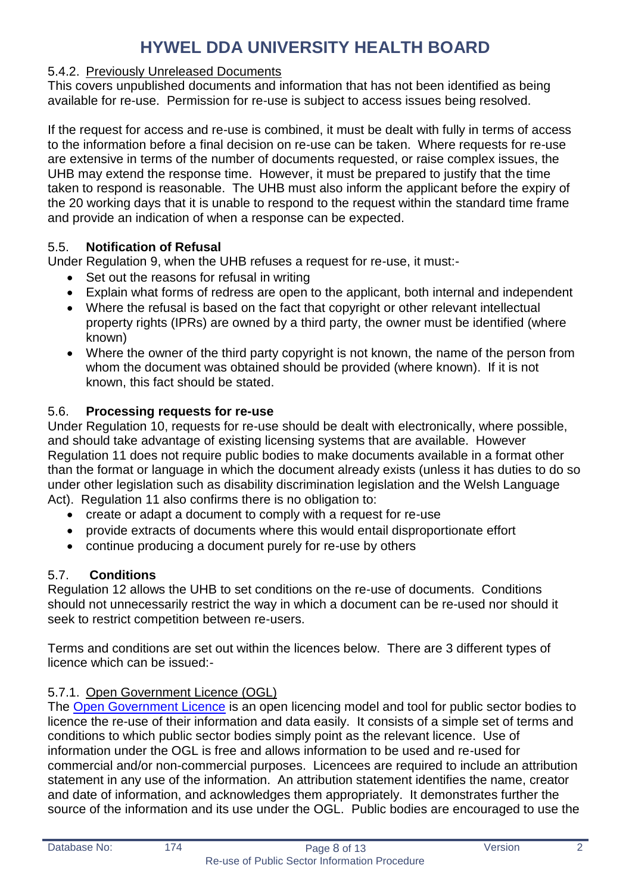### <span id="page-7-0"></span>5.4.2. Previously Unreleased Documents

This covers unpublished documents and information that has not been identified as being available for re-use. Permission for re-use is subject to access issues being resolved.

If the request for access and re-use is combined, it must be dealt with fully in terms of access to the information before a final decision on re-use can be taken. Where requests for re-use are extensive in terms of the number of documents requested, or raise complex issues, the UHB may extend the response time. However, it must be prepared to justify that the time taken to respond is reasonable. The UHB must also inform the applicant before the expiry of the 20 working days that it is unable to respond to the request within the standard time frame and provide an indication of when a response can be expected.

### <span id="page-7-1"></span>5.5. **Notification of Refusal**

Under Regulation 9, when the UHB refuses a request for re-use, it must:-

- Set out the reasons for refusal in writing
- Explain what forms of redress are open to the applicant, both internal and independent
- Where the refusal is based on the fact that copyright or other relevant intellectual property rights (IPRs) are owned by a third party, the owner must be identified (where known)
- Where the owner of the third party copyright is not known, the name of the person from whom the document was obtained should be provided (where known). If it is not known, this fact should be stated.

### <span id="page-7-2"></span>5.6. **Processing requests for re-use**

Under Regulation 10, requests for re-use should be dealt with electronically, where possible, and should take advantage of existing licensing systems that are available. However Regulation 11 does not require public bodies to make documents available in a format other than the format or language in which the document already exists (unless it has duties to do so under other legislation such as disability discrimination legislation and the Welsh Language Act). Regulation 11 also confirms there is no obligation to:

- create or adapt a document to comply with a request for re-use
- provide extracts of documents where this would entail disproportionate effort
- <span id="page-7-3"></span>continue producing a document purely for re-use by others

#### 5.7. **Conditions**

Regulation 12 allows the UHB to set conditions on the re-use of documents. Conditions should not unnecessarily restrict the way in which a document can be re-used nor should it seek to restrict competition between re-users.

Terms and conditions are set out within the licences below. There are 3 different types of licence which can be issued:-

# <span id="page-7-4"></span>5.7.1. Open Government Licence (OGL)

The [Open Government Licence](http://www.nationalarchives.gov.uk/doc/open-government-licence/version/2) is an open licencing model and tool for public sector bodies to licence the re-use of their information and data easily. It consists of a simple set of terms and conditions to which public sector bodies simply point as the relevant licence. Use of information under the OGL is free and allows information to be used and re-used for commercial and/or non-commercial purposes. Licencees are required to include an attribution statement in any use of the information. An attribution statement identifies the name, creator and date of information, and acknowledges them appropriately. It demonstrates further the source of the information and its use under the OGL. Public bodies are encouraged to use the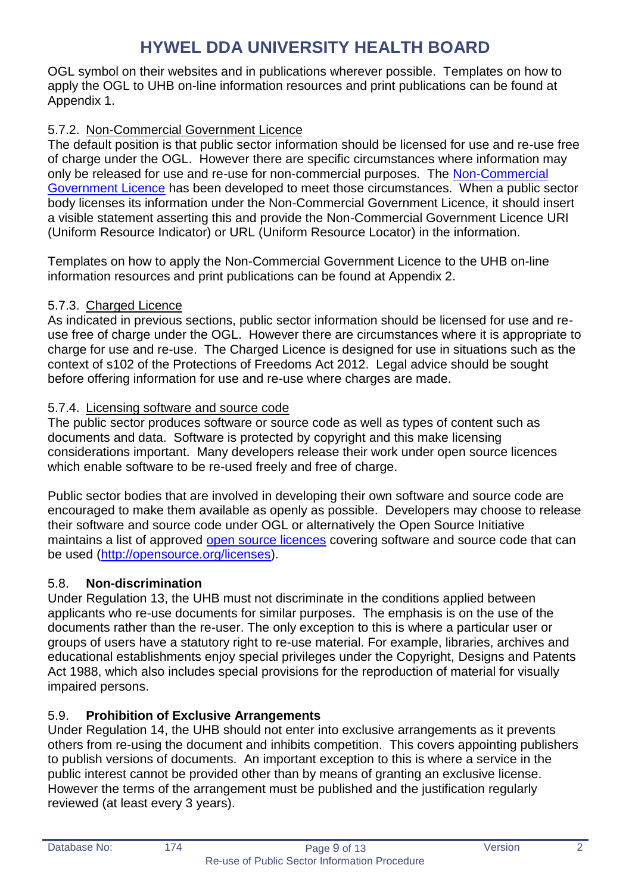OGL symbol on their websites and in publications wherever possible. Templates on how to apply the OGL to UHB on-line information resources and print publications can be found at Appendix 1.

# <span id="page-8-0"></span>5.7.2. Non-Commercial Government Licence

The default position is that public sector information should be licensed for use and re-use free of charge under the OGL. However there are specific circumstances where information may only be released for use and re-use for non-commercial purposes. The [Non-Commercial](http://www.nationalarchives.gov.uk/doc/non-commercial-government-licence/non-commercial-government-licence.htm)  [Government Licence](http://www.nationalarchives.gov.uk/doc/non-commercial-government-licence/non-commercial-government-licence.htm) has been developed to meet those circumstances. When a public sector body licenses its information under the Non-Commercial Government Licence, it should insert a visible statement asserting this and provide the Non-Commercial Government Licence URI (Uniform Resource Indicator) or URL (Uniform Resource Locator) in the information.

Templates on how to apply the Non-Commercial Government Licence to the UHB on-line information resources and print publications can be found at Appendix 2.

# <span id="page-8-1"></span>5.7.3. Charged Licence

As indicated in previous sections, public sector information should be licensed for use and reuse free of charge under the OGL. However there are circumstances where it is appropriate to charge for use and re-use. The Charged Licence is designed for use in situations such as the context of s102 of the Protections of Freedoms Act 2012. Legal advice should be sought before offering information for use and re-use where charges are made.

# <span id="page-8-2"></span>5.7.4. Licensing software and source code

The public sector produces software or source code as well as types of content such as documents and data. Software is protected by copyright and this make licensing considerations important. Many developers release their work under open source licences which enable software to be re-used freely and free of charge.

Public sector bodies that are involved in developing their own software and source code are encouraged to make them available as openly as possible. Developers may choose to release their software and source code under OGL or alternatively the Open Source Initiative maintains a list of approved [open source licences](http://opensource.org/files/garland_favicon.png) covering software and source code that can be used [\(http://opensource.org/licenses\)](http://opensource.org/licenses).

# <span id="page-8-3"></span>5.8. **Non-discrimination**

Under Regulation 13, the UHB must not discriminate in the conditions applied between applicants who re-use documents for similar purposes. The emphasis is on the use of the documents rather than the re-user. The only exception to this is where a particular user or groups of users have a statutory right to re-use material. For example, libraries, archives and educational establishments enjoy special privileges under the Copyright, Designs and Patents Act 1988, which also includes special provisions for the reproduction of material for visually impaired persons.

# <span id="page-8-4"></span>5.9. **Prohibition of Exclusive Arrangements**

Under Regulation 14, the UHB should not enter into exclusive arrangements as it prevents others from re-using the document and inhibits competition. This covers appointing publishers to publish versions of documents. An important exception to this is where a service in the public interest cannot be provided other than by means of granting an exclusive license. However the terms of the arrangement must be published and the justification regularly reviewed (at least every 3 years).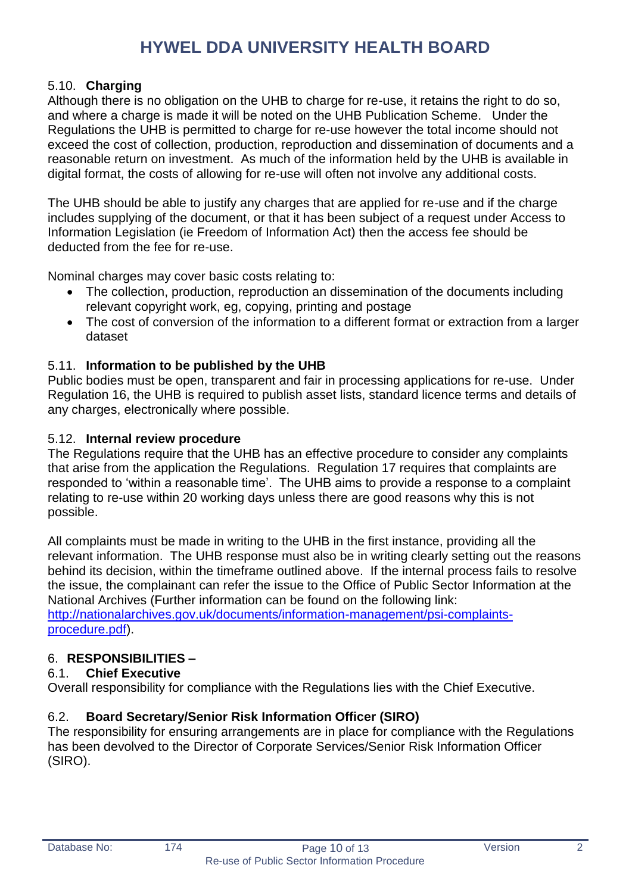# <span id="page-9-0"></span>5.10. **Charging**

Although there is no obligation on the UHB to charge for re-use, it retains the right to do so, and where a charge is made it will be noted on the UHB Publication Scheme. Under the Regulations the UHB is permitted to charge for re-use however the total income should not exceed the cost of collection, production, reproduction and dissemination of documents and a reasonable return on investment. As much of the information held by the UHB is available in digital format, the costs of allowing for re-use will often not involve any additional costs.

The UHB should be able to justify any charges that are applied for re-use and if the charge includes supplying of the document, or that it has been subject of a request under Access to Information Legislation (ie Freedom of Information Act) then the access fee should be deducted from the fee for re-use.

Nominal charges may cover basic costs relating to:

- The collection, production, reproduction an dissemination of the documents including relevant copyright work, eg, copying, printing and postage
- The cost of conversion of the information to a different format or extraction from a larger dataset

### <span id="page-9-1"></span>5.11. **Information to be published by the UHB**

Public bodies must be open, transparent and fair in processing applications for re-use. Under Regulation 16, the UHB is required to publish asset lists, standard licence terms and details of any charges, electronically where possible.

#### <span id="page-9-2"></span>5.12. **Internal review procedure**

The Regulations require that the UHB has an effective procedure to consider any complaints that arise from the application the Regulations. Regulation 17 requires that complaints are responded to 'within a reasonable time'. The UHB aims to provide a response to a complaint relating to re-use within 20 working days unless there are good reasons why this is not possible.

All complaints must be made in writing to the UHB in the first instance, providing all the relevant information. The UHB response must also be in writing clearly setting out the reasons behind its decision, within the timeframe outlined above. If the internal process fails to resolve the issue, the complainant can refer the issue to the Office of Public Sector Information at the National Archives (Further information can be found on the following link: [http://nationalarchives.gov.uk/documents/information-management/psi-complaints-](http://nationalarchives.gov.uk/documents/information-management/psi-complaints-procedure.pdf)

[procedure.pdf\)](http://nationalarchives.gov.uk/documents/information-management/psi-complaints-procedure.pdf).

# <span id="page-9-3"></span>6. **RESPONSIBILITIES –**

# <span id="page-9-4"></span>6.1. **Chief Executive**

Overall responsibility for compliance with the Regulations lies with the Chief Executive.

# <span id="page-9-5"></span>6.2. **Board Secretary/Senior Risk Information Officer (SIRO)**

The responsibility for ensuring arrangements are in place for compliance with the Regulations has been devolved to the Director of Corporate Services/Senior Risk Information Officer (SIRO).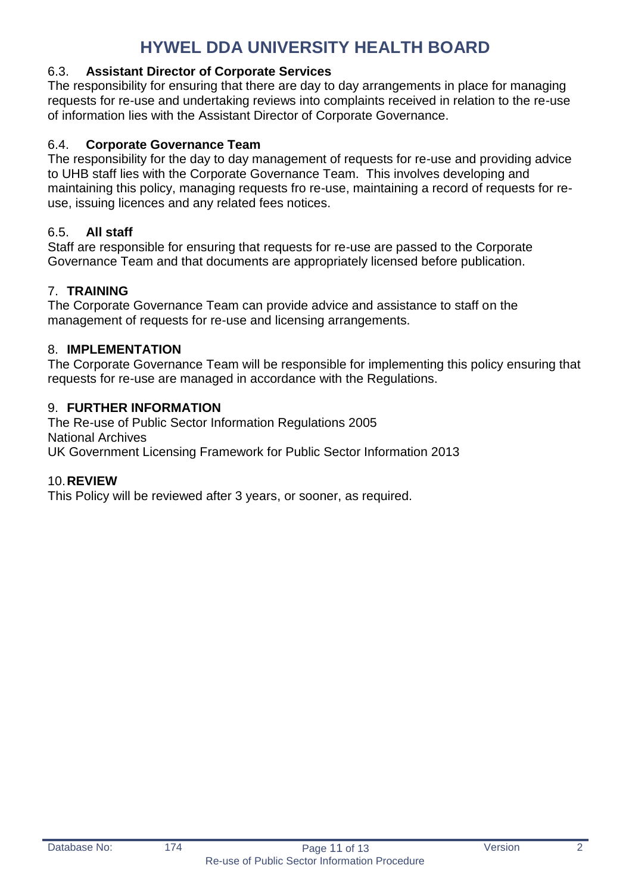# <span id="page-10-0"></span>6.3. **Assistant Director of Corporate Services**

The responsibility for ensuring that there are day to day arrangements in place for managing requests for re-use and undertaking reviews into complaints received in relation to the re-use of information lies with the Assistant Director of Corporate Governance.

### <span id="page-10-1"></span>6.4. **Corporate Governance Team**

The responsibility for the day to day management of requests for re-use and providing advice to UHB staff lies with the Corporate Governance Team. This involves developing and maintaining this policy, managing requests fro re-use, maintaining a record of requests for reuse, issuing licences and any related fees notices.

### <span id="page-10-2"></span>6.5. **All staff**

Staff are responsible for ensuring that requests for re-use are passed to the Corporate Governance Team and that documents are appropriately licensed before publication.

### <span id="page-10-3"></span>7. **TRAINING**

The Corporate Governance Team can provide advice and assistance to staff on the management of requests for re-use and licensing arrangements.

#### <span id="page-10-4"></span>8. **IMPLEMENTATION**

The Corporate Governance Team will be responsible for implementing this policy ensuring that requests for re-use are managed in accordance with the Regulations.

#### <span id="page-10-5"></span>9. **FURTHER INFORMATION**

The Re-use of Public Sector Information Regulations 2005 National Archives UK Government Licensing Framework for Public Sector Information 2013

#### <span id="page-10-6"></span>10.**REVIEW**

This Policy will be reviewed after 3 years, or sooner, as required.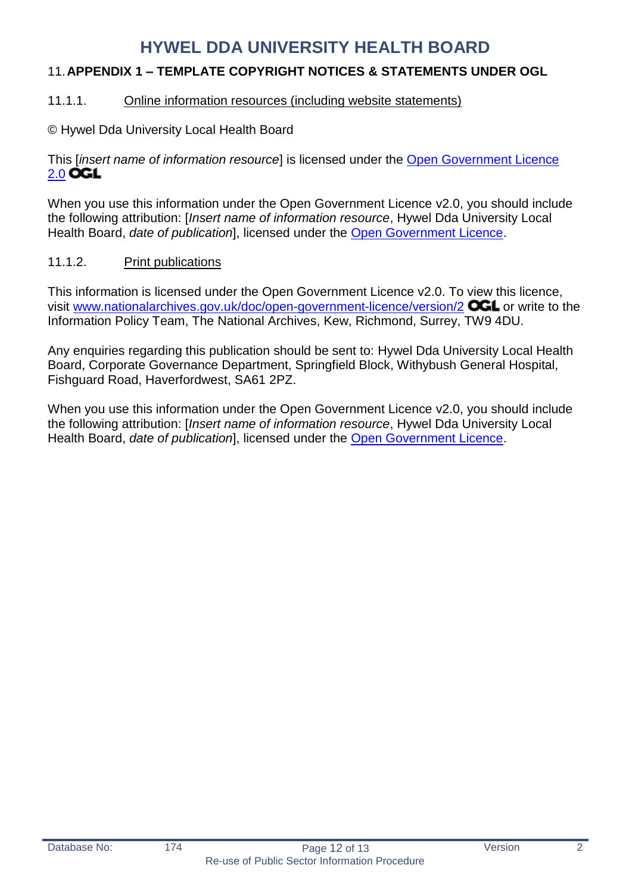# <span id="page-11-0"></span>11.**APPENDIX 1 – TEMPLATE COPYRIGHT NOTICES & STATEMENTS UNDER OGL**

### <span id="page-11-1"></span>11.1.1. Online information resources (including website statements)

© Hywel Dda University Local Health Board

This [*insert name of information resource*] is licensed under the [Open Government Licence](http://www.nationalarchives.gov.uk/doc/open-government-licence/version/2)  [2.0](http://www.nationalarchives.gov.uk/doc/open-government-licence/version/2) OGL

When you use this information under the Open Government Licence v2.0, you should include the following attribution: [*Insert name of information resource*, Hywel Dda University Local Health Board, *date of publication*], licensed under the [Open Government Licence.](http://www.nationalarchives.gov.uk/doc/open-government-licence/version/2)

### <span id="page-11-2"></span>11.1.2. Print publications

This information is licensed under the Open Government Licence v2.0. To view this licence, visit [www.nationalarchives.gov.uk/doc/open-government-licence/version/2](http://www.nationalarchives.gov.uk/doc/open-government-licence/version/2) **OCL** or write to the Information Policy Team, The National Archives, Kew, Richmond, Surrey, TW9 4DU.

Any enquiries regarding this publication should be sent to: Hywel Dda University Local Health Board, Corporate Governance Department, Springfield Block, Withybush General Hospital, Fishguard Road, Haverfordwest, SA61 2PZ.

When you use this information under the Open Government Licence v2.0, you should include the following attribution: [*Insert name of information resource*, Hywel Dda University Local Health Board, *date of publication*], licensed under the [Open Government Licence.](http://www.nationalarchives.gov.uk/doc/open-government-licence/version/2)